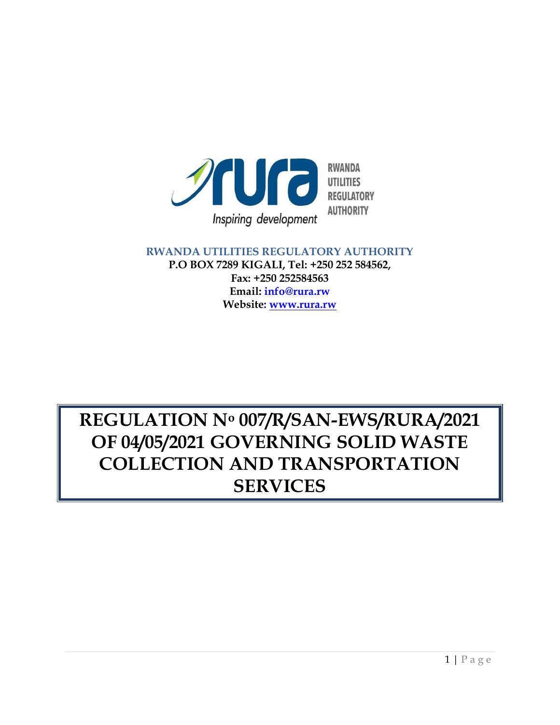

#### **RWANDA UTILITIES REGULATORY AUTHORITY P.O BOX 7289 KIGALI, Tel: +250 252 584562, Fax: +250 252584563 Email: info@rura.rw Website: [www.rura.rw](http://www.rura.rw/)**

# **REGULATION N<sup>o</sup> 007/R/SAN-EWS/RURA/2021 OF 04/05/2021 GOVERNING SOLID WASTE COLLECTION AND TRANSPORTATION SERVICES**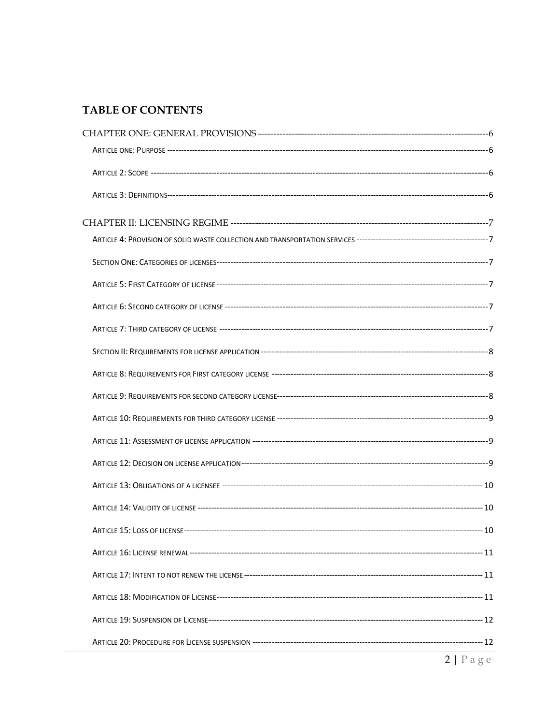#### TABLE OF CONTENTS

| $2   P \text{age}$ |
|--------------------|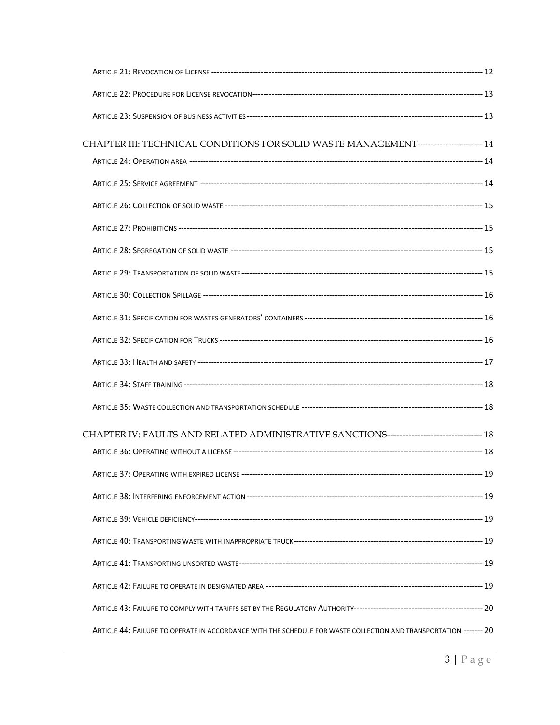| CHAPTER III: TECHNICAL CONDITIONS FOR SOLID WASTE MANAGEMENT--------------------- 14                              |      |
|-------------------------------------------------------------------------------------------------------------------|------|
|                                                                                                                   |      |
|                                                                                                                   |      |
|                                                                                                                   |      |
|                                                                                                                   |      |
|                                                                                                                   |      |
|                                                                                                                   |      |
|                                                                                                                   |      |
|                                                                                                                   |      |
|                                                                                                                   |      |
|                                                                                                                   |      |
|                                                                                                                   |      |
|                                                                                                                   |      |
| CHAPTER IV: FAULTS AND RELATED ADMINISTRATIVE SANCTIONS------------------------------ 18                          |      |
|                                                                                                                   |      |
| ARTICLE 37: OPERATING WITH EXPIRED LICENSE -----                                                                  | . 19 |
|                                                                                                                   |      |
|                                                                                                                   |      |
|                                                                                                                   |      |
|                                                                                                                   |      |
|                                                                                                                   |      |
|                                                                                                                   |      |
| ARTICLE 44: FAILURE TO OPERATE IN ACCORDANCE WITH THE SCHEDULE FOR WASTE COLLECTION AND TRANSPORTATION ------- 20 |      |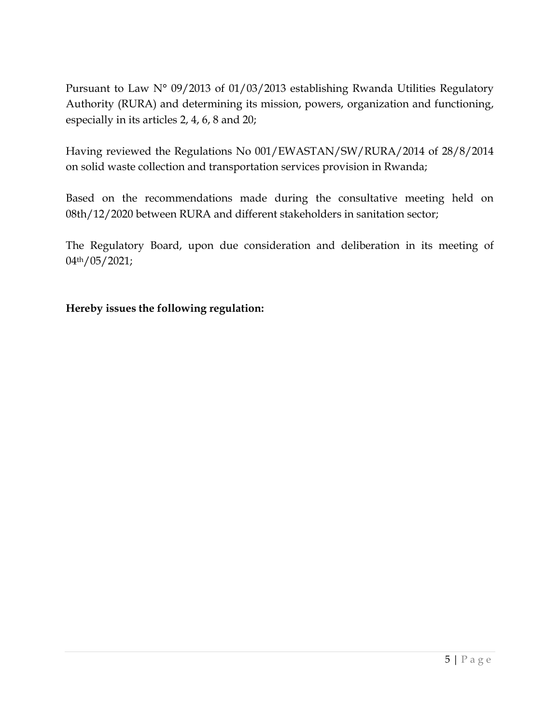Pursuant to Law N° 09/2013 of 01/03/2013 establishing Rwanda Utilities Regulatory Authority (RURA) and determining its mission, powers, organization and functioning, especially in its articles 2, 4, 6, 8 and 20;

Having reviewed the Regulations No 001/EWASTAN/SW/RURA/2014 of 28/8/2014 on solid waste collection and transportation services provision in Rwanda;

Based on the recommendations made during the consultative meeting held on 08th/12/2020 between RURA and different stakeholders in sanitation sector;

The Regulatory Board, upon due consideration and deliberation in its meeting of 04th/05/2021;

#### <span id="page-4-0"></span>**Hereby issues the following regulation:**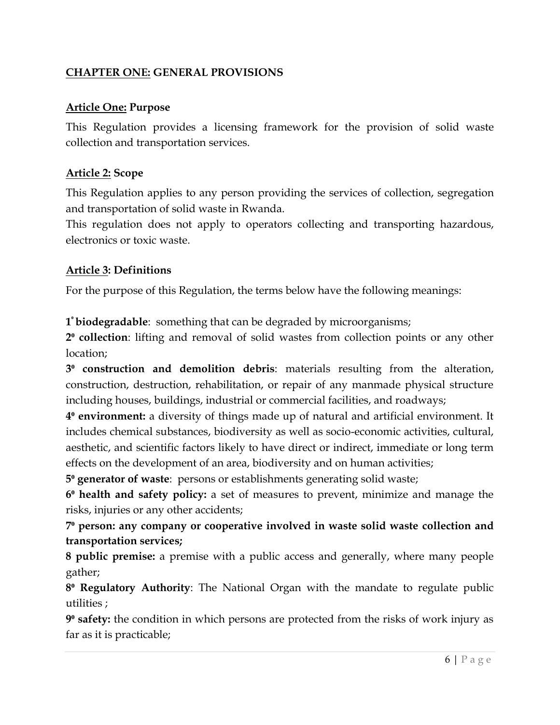## **CHAPTER ONE: GENERAL PROVISIONS**

#### <span id="page-5-0"></span>**Article One: Purpose**

This Regulation provides a licensing framework for the provision of solid waste collection and transportation services.

#### <span id="page-5-1"></span>**Article 2: Scope**

This Regulation applies to any person providing the services of collection, segregation and transportation of solid waste in Rwanda.

This regulation does not apply to operators collecting and transporting hazardous, electronics or toxic waste.

#### <span id="page-5-2"></span>**Article 3: Definitions**

For the purpose of this Regulation, the terms below have the following meanings:

**1 <sup>⁰</sup> biodegradable**: something that can be degraded by microorganisms;

**2⁰ collection**: lifting and removal of solid wastes from collection points or any other location;

**3⁰ construction and demolition debris**: materials resulting from the alteration, construction, destruction, rehabilitation, or repair of any manmade physical structure including houses, buildings, industrial or commercial facilities, and roadways;

**4<sup>°</sup> environment:** a diversity of things made up of natural and artificial environment. It includes chemical substances, biodiversity as well as socio-economic activities, cultural, aesthetic, and scientific factors likely to have direct or indirect, immediate or long term effects on the development of an area, biodiversity and on human activities;

**5⁰ generator of waste**: persons or establishments generating solid waste;

**6⁰ health and safety policy:** a set of measures to prevent, minimize and manage the risks, injuries or any other accidents;

**7⁰ person: any company or cooperative involved in waste solid waste collection and transportation services;**

**8 public premise:** a premise with a public access and generally, where many people gather;

**8⁰ Regulatory Authority**: The National Organ with the mandate to regulate public utilities ;

**9<sup>°</sup> safety:** the condition in which persons are protected from the risks of work injury as far as it is practicable;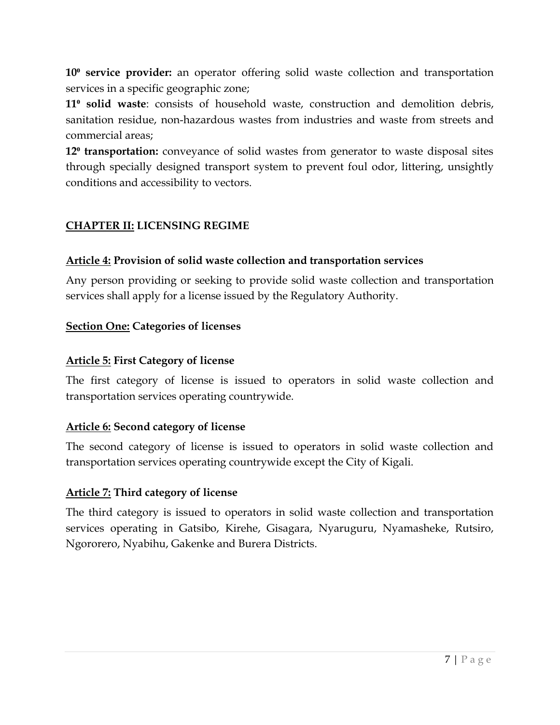**10<sup>°</sup> service provider:** an operator offering solid waste collection and transportation services in a specific geographic zone;

**11<sup>°</sup> solid waste**: consists of household waste, construction and demolition debris, sanitation residue, non-hazardous wastes from industries and waste from streets and commercial areas;

**12<sup>°</sup> transportation:** conveyance of solid wastes from generator to waste disposal sites through specially designed transport system to prevent foul odor, littering, unsightly conditions and accessibility to vectors.

### <span id="page-6-0"></span>**CHAPTER II: LICENSING REGIME**

#### <span id="page-6-1"></span>**Article 4: Provision of solid waste collection and transportation services**

Any person providing or seeking to provide solid waste collection and transportation services shall apply for a license issued by the Regulatory Authority.

#### <span id="page-6-2"></span>**Section One: Categories of licenses**

#### <span id="page-6-3"></span>**Article 5: First Category of license**

The first category of license is issued to operators in solid waste collection and transportation services operating countrywide.

#### <span id="page-6-4"></span>**Article 6: Second category of license**

The second category of license is issued to operators in solid waste collection and transportation services operating countrywide except the City of Kigali.

#### <span id="page-6-5"></span>**Article 7: Third category of license**

The third category is issued to operators in solid waste collection and transportation services operating in Gatsibo, Kirehe, Gisagara, Nyaruguru, Nyamasheke, Rutsiro, Ngororero, Nyabihu, Gakenke and Burera Districts.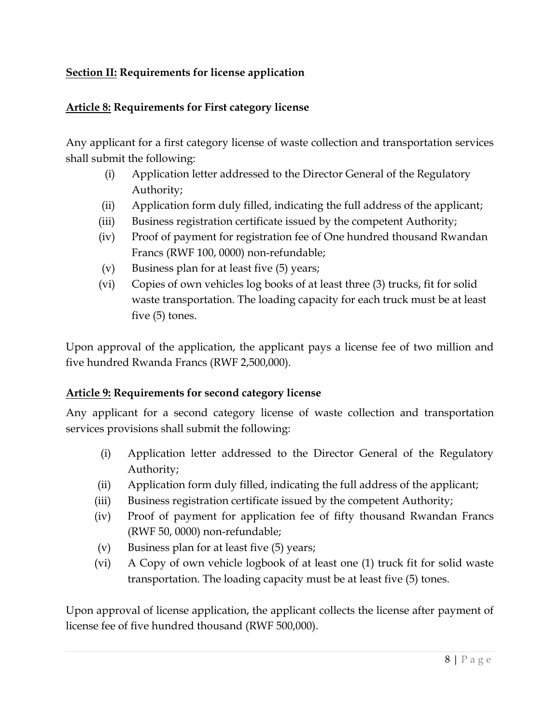## <span id="page-7-0"></span>**Section II: Requirements for license application**

## <span id="page-7-1"></span>**Article 8: Requirements for First category license**

Any applicant for a first category license of waste collection and transportation services shall submit the following:

- (i) Application letter addressed to the Director General of the Regulatory Authority;
- (ii) Application form duly filled, indicating the full address of the applicant;
- (iii) Business registration certificate issued by the competent Authority;
- (iv) Proof of payment for registration fee of One hundred thousand Rwandan Francs (RWF 100, 0000) non-refundable;
- (v) Business plan for at least five (5) years;
- (vi) Copies of own vehicles log books of at least three (3) trucks, fit for solid waste transportation. The loading capacity for each truck must be at least five (5) tones.

Upon approval of the application, the applicant pays a license fee of two million and five hundred Rwanda Francs (RWF 2,500,000).

## <span id="page-7-2"></span>**Article 9: Requirements for second category license**

Any applicant for a second category license of waste collection and transportation services provisions shall submit the following:

- (i) Application letter addressed to the Director General of the Regulatory Authority;
- (ii) Application form duly filled, indicating the full address of the applicant;
- (iii) Business registration certificate issued by the competent Authority;
- (iv) Proof of payment for application fee of fifty thousand Rwandan Francs (RWF 50, 0000) non-refundable;
- (v) Business plan for at least five (5) years;
- (vi) A Copy of own vehicle logbook of at least one (1) truck fit for solid waste transportation. The loading capacity must be at least five (5) tones.

Upon approval of license application, the applicant collects the license after payment of license fee of five hundred thousand (RWF 500,000).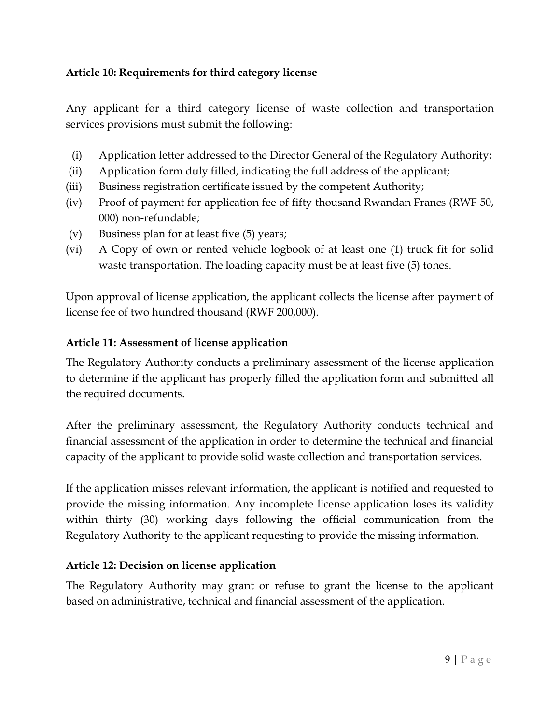## <span id="page-8-0"></span>**Article 10: Requirements for third category license**

Any applicant for a third category license of waste collection and transportation services provisions must submit the following:

- (i) Application letter addressed to the Director General of the Regulatory Authority;
- (ii) Application form duly filled, indicating the full address of the applicant;
- (iii) Business registration certificate issued by the competent Authority;
- (iv) Proof of payment for application fee of fifty thousand Rwandan Francs (RWF 50, 000) non-refundable;
- (v) Business plan for at least five (5) years;
- (vi) A Copy of own or rented vehicle logbook of at least one (1) truck fit for solid waste transportation. The loading capacity must be at least five (5) tones.

Upon approval of license application, the applicant collects the license after payment of license fee of two hundred thousand (RWF 200,000).

#### <span id="page-8-1"></span>**Article 11: Assessment of license application**

The Regulatory Authority conducts a preliminary assessment of the license application to determine if the applicant has properly filled the application form and submitted all the required documents.

After the preliminary assessment, the Regulatory Authority conducts technical and financial assessment of the application in order to determine the technical and financial capacity of the applicant to provide solid waste collection and transportation services.

If the application misses relevant information, the applicant is notified and requested to provide the missing information. Any incomplete license application loses its validity within thirty (30) working days following the official communication from the Regulatory Authority to the applicant requesting to provide the missing information.

## <span id="page-8-2"></span>**Article 12: Decision on license application**

The Regulatory Authority may grant or refuse to grant the license to the applicant based on administrative, technical and financial assessment of the application.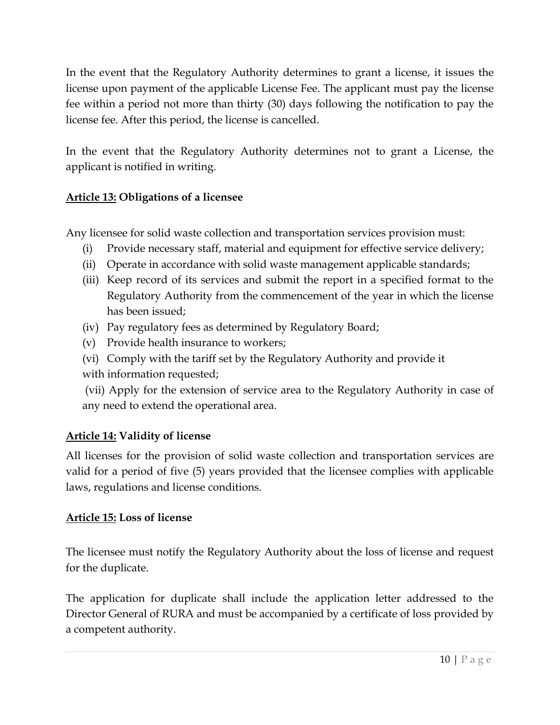In the event that the Regulatory Authority determines to grant a license, it issues the license upon payment of the applicable License Fee. The applicant must pay the license fee within a period not more than thirty (30) days following the notification to pay the license fee. After this period, the license is cancelled.

In the event that the Regulatory Authority determines not to grant a License, the applicant is notified in writing.

## <span id="page-9-0"></span>**Article 13: Obligations of a licensee**

Any licensee for solid waste collection and transportation services provision must:

- (i) Provide necessary staff, material and equipment for effective service delivery;
- (ii) Operate in accordance with solid waste management applicable standards;
- (iii) Keep record of its services and submit the report in a specified format to the Regulatory Authority from the commencement of the year in which the license has been issued;
- (iv) Pay regulatory fees as determined by Regulatory Board;
- (v) Provide health insurance to workers;
- (vi) Comply with the tariff set by the Regulatory Authority and provide it with information requested;
- (vii) Apply for the extension of service area to the Regulatory Authority in case of any need to extend the operational area.

## <span id="page-9-1"></span>**Article 14: Validity of license**

All licenses for the provision of solid waste collection and transportation services are valid for a period of five (5) years provided that the licensee complies with applicable laws, regulations and license conditions.

## <span id="page-9-2"></span>**Article 15: Loss of license**

The licensee must notify the Regulatory Authority about the loss of license and request for the duplicate.

The application for duplicate shall include the application letter addressed to the Director General of RURA and must be accompanied by a certificate of loss provided by a competent authority.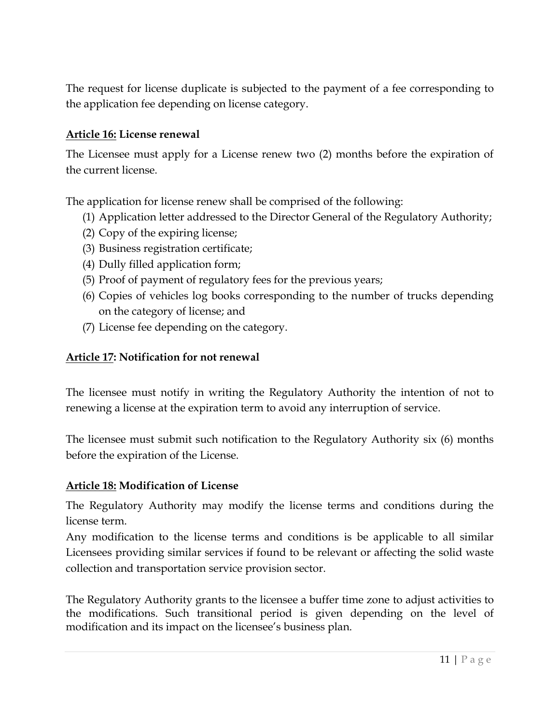The request for license duplicate is subjected to the payment of a fee corresponding to the application fee depending on license category.

#### <span id="page-10-0"></span>**Article 16: License renewal**

The Licensee must apply for a License renew two (2) months before the expiration of the current license.

The application for license renew shall be comprised of the following:

- (1) Application letter addressed to the Director General of the Regulatory Authority;
- (2) Copy of the expiring license;
- (3) Business registration certificate;
- (4) Dully filled application form;
- (5) Proof of payment of regulatory fees for the previous years;
- (6) Copies of vehicles log books corresponding to the number of trucks depending on the category of license; and
- (7) License fee depending on the category.

#### <span id="page-10-1"></span>**Article 17: Notification for not renewal**

The licensee must notify in writing the Regulatory Authority the intention of not to renewing a license at the expiration term to avoid any interruption of service.

The licensee must submit such notification to the Regulatory Authority six (6) months before the expiration of the License.

#### <span id="page-10-2"></span>**Article 18: Modification of License**

The Regulatory Authority may modify the license terms and conditions during the license term.

Any modification to the license terms and conditions is be applicable to all similar Licensees providing similar services if found to be relevant or affecting the solid waste collection and transportation service provision sector.

The Regulatory Authority grants to the licensee a buffer time zone to adjust activities to the modifications. Such transitional period is given depending on the level of modification and its impact on the licensee's business plan.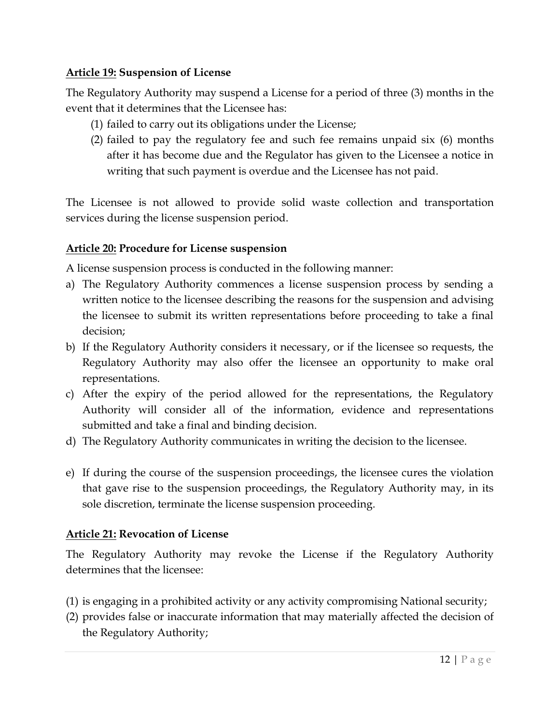#### <span id="page-11-0"></span>**Article 19: Suspension of License**

The Regulatory Authority may suspend a License for a period of three (3) months in the event that it determines that the Licensee has:

- (1) failed to carry out its obligations under the License;
- (2) failed to pay the regulatory fee and such fee remains unpaid six (6) months after it has become due and the Regulator has given to the Licensee a notice in writing that such payment is overdue and the Licensee has not paid.

The Licensee is not allowed to provide solid waste collection and transportation services during the license suspension period.

## <span id="page-11-1"></span>**Article 20: Procedure for License suspension**

A license suspension process is conducted in the following manner:

- a) The Regulatory Authority commences a license suspension process by sending a written notice to the licensee describing the reasons for the suspension and advising the licensee to submit its written representations before proceeding to take a final decision;
- b) If the Regulatory Authority considers it necessary, or if the licensee so requests, the Regulatory Authority may also offer the licensee an opportunity to make oral representations.
- c) After the expiry of the period allowed for the representations, the Regulatory Authority will consider all of the information, evidence and representations submitted and take a final and binding decision.
- d) The Regulatory Authority communicates in writing the decision to the licensee.
- e) If during the course of the suspension proceedings, the licensee cures the violation that gave rise to the suspension proceedings, the Regulatory Authority may, in its sole discretion, terminate the license suspension proceeding.

## <span id="page-11-2"></span>**Article 21: Revocation of License**

The Regulatory Authority may revoke the License if the Regulatory Authority determines that the licensee:

- (1) is engaging in a prohibited activity or any activity compromising National security;
- (2) provides false or inaccurate information that may materially affected the decision of the Regulatory Authority;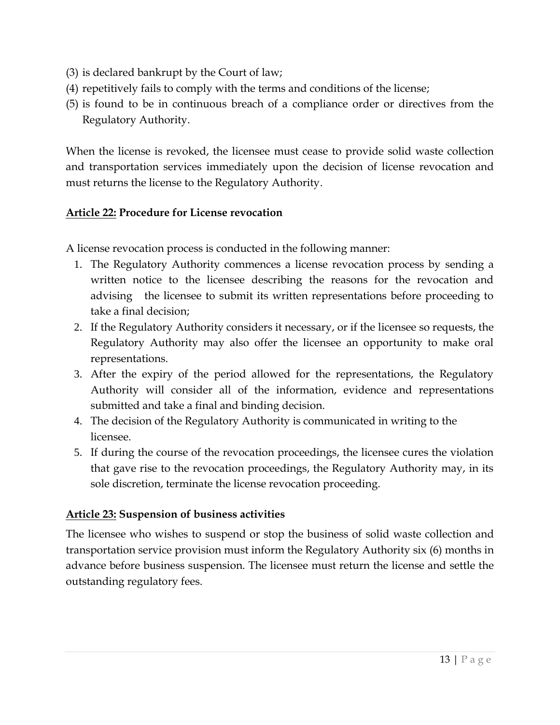- (3) is declared bankrupt by the Court of law;
- (4) repetitively fails to comply with the terms and conditions of the license;
- (5) is found to be in continuous breach of a compliance order or directives from the Regulatory Authority.

When the license is revoked, the licensee must cease to provide solid waste collection and transportation services immediately upon the decision of license revocation and must returns the license to the Regulatory Authority.

#### <span id="page-12-0"></span>**Article 22: Procedure for License revocation**

A license revocation process is conducted in the following manner:

- 1. The Regulatory Authority commences a license revocation process by sending a written notice to the licensee describing the reasons for the revocation and advising the licensee to submit its written representations before proceeding to take a final decision;
- 2. If the Regulatory Authority considers it necessary, or if the licensee so requests, the Regulatory Authority may also offer the licensee an opportunity to make oral representations.
- 3. After the expiry of the period allowed for the representations, the Regulatory Authority will consider all of the information, evidence and representations submitted and take a final and binding decision.
- 4. The decision of the Regulatory Authority is communicated in writing to the licensee.
- 5. If during the course of the revocation proceedings, the licensee cures the violation that gave rise to the revocation proceedings, the Regulatory Authority may, in its sole discretion, terminate the license revocation proceeding.

#### <span id="page-12-1"></span>**Article 23: Suspension of business activities**

The licensee who wishes to suspend or stop the business of solid waste collection and transportation service provision must inform the Regulatory Authority six (6) months in advance before business suspension. The licensee must return the license and settle the outstanding regulatory fees.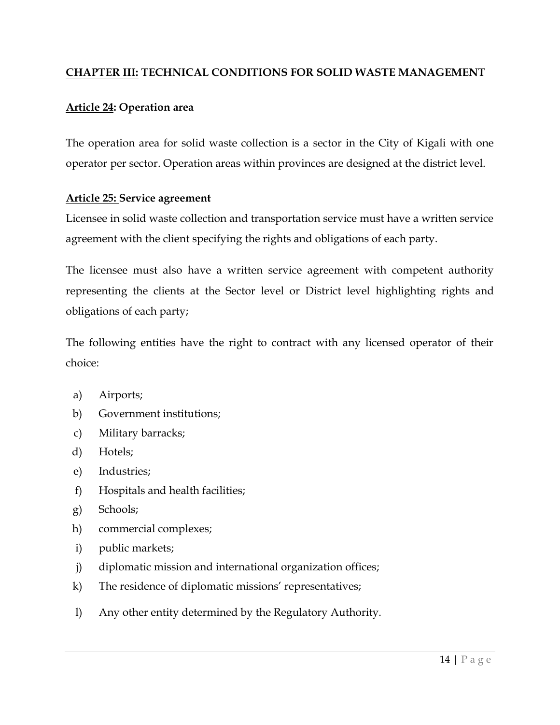#### <span id="page-13-0"></span>**CHAPTER III: TECHNICAL CONDITIONS FOR SOLID WASTE MANAGEMENT**

#### <span id="page-13-1"></span>**Article 24: Operation area**

The operation area for solid waste collection is a sector in the City of Kigali with one operator per sector. Operation areas within provinces are designed at the district level.

#### <span id="page-13-2"></span>**Article 25: Service agreement**

Licensee in solid waste collection and transportation service must have a written service agreement with the client specifying the rights and obligations of each party.

The licensee must also have a written service agreement with competent authority representing the clients at the Sector level or District level highlighting rights and obligations of each party;

The following entities have the right to contract with any licensed operator of their choice:

- a) Airports;
- b) Government institutions;
- c) Military barracks;
- d) Hotels;
- e) Industries;
- f) Hospitals and health facilities;
- g) Schools;
- h) commercial complexes;
- i) public markets;
- j) diplomatic mission and international organization offices;
- k) The residence of diplomatic missions' representatives;
- l) Any other entity determined by the Regulatory Authority.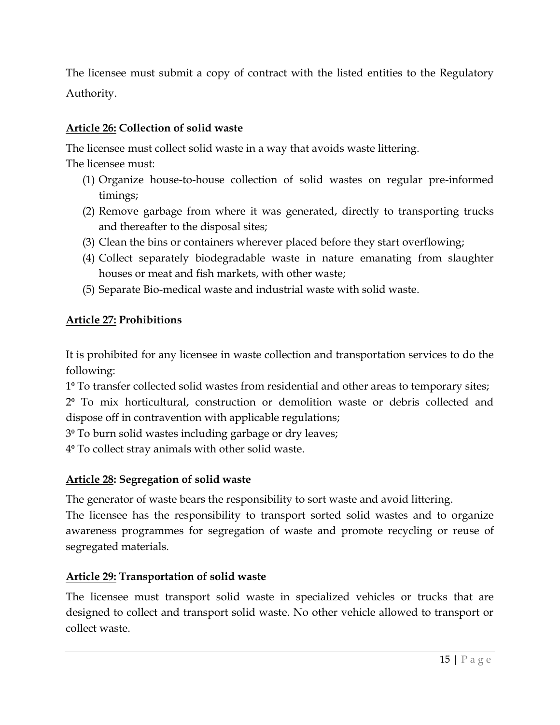The licensee must submit a copy of contract with the listed entities to the Regulatory Authority.

## <span id="page-14-0"></span>**Article 26: Collection of solid waste**

The licensee must collect solid waste in a way that avoids waste littering.

The licensee must:

- (1) Organize house-to-house collection of solid wastes on regular pre-informed timings;
- (2) Remove garbage from where it was generated, directly to transporting trucks and thereafter to the disposal sites;
- (3) Clean the bins or containers wherever placed before they start overflowing;
- (4) Collect separately biodegradable waste in nature emanating from slaughter houses or meat and fish markets, with other waste;
- (5) Separate Bio-medical waste and industrial waste with solid waste.

## <span id="page-14-1"></span>**Article 27: Prohibitions**

It is prohibited for any licensee in waste collection and transportation services to do the following:

1⁰ To transfer collected solid wastes from residential and other areas to temporary sites;

2⁰ To mix horticultural, construction or demolition waste or debris collected and dispose off in contravention with applicable regulations;

3⁰ To burn solid wastes including garbage or dry leaves;

4⁰ To collect stray animals with other solid waste.

## <span id="page-14-2"></span>**Article 28: Segregation of solid waste**

The generator of waste bears the responsibility to sort waste and avoid littering.

The licensee has the responsibility to transport sorted solid wastes and to organize awareness programmes for segregation of waste and promote recycling or reuse of segregated materials.

## <span id="page-14-3"></span>**Article 29: Transportation of solid waste**

The licensee must transport solid waste in specialized vehicles or trucks that are designed to collect and transport solid waste. No other vehicle allowed to transport or collect waste.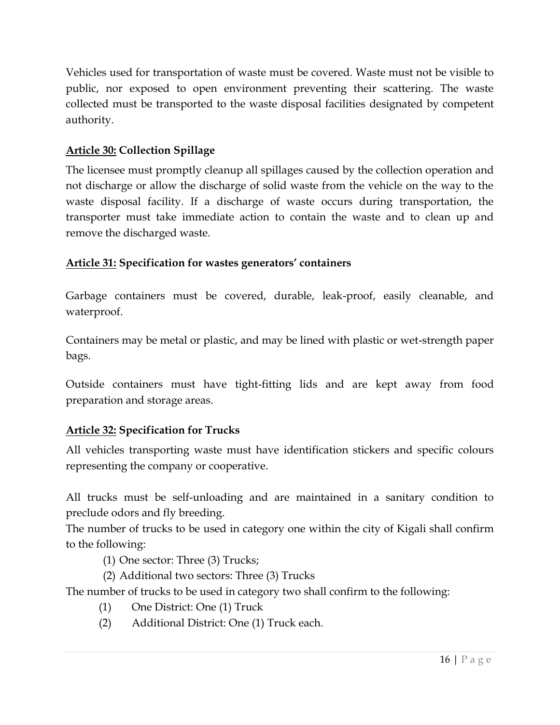Vehicles used for transportation of waste must be covered. Waste must not be visible to public, nor exposed to open environment preventing their scattering. The waste collected must be transported to the waste disposal facilities designated by competent authority.

## <span id="page-15-0"></span>**Article 30: Collection Spillage**

The licensee must promptly cleanup all spillages caused by the collection operation and not discharge or allow the discharge of solid waste from the vehicle on the way to the waste disposal facility. If a discharge of waste occurs during transportation, the transporter must take immediate action to contain the waste and to clean up and remove the discharged waste.

## <span id="page-15-1"></span>**Article 31: Specification for wastes generators' containers**

Garbage containers must be covered, durable, leak-proof, easily cleanable, and waterproof.

Containers may be metal or plastic, and may be lined with plastic or wet-strength paper bags.

Outside containers must have tight-fitting lids and are kept away from food preparation and storage areas.

## <span id="page-15-2"></span>**Article 32: Specification for Trucks**

All vehicles transporting waste must have identification stickers and specific colours representing the company or cooperative.

All trucks must be self-unloading and are maintained in a sanitary condition to preclude odors and fly breeding.

The number of trucks to be used in category one within the city of Kigali shall confirm to the following:

- (1) One sector: Three (3) Trucks;
- (2) Additional two sectors: Three (3) Trucks

The number of trucks to be used in category two shall confirm to the following:

- (1) One District: One (1) Truck
- (2) Additional District: One (1) Truck each.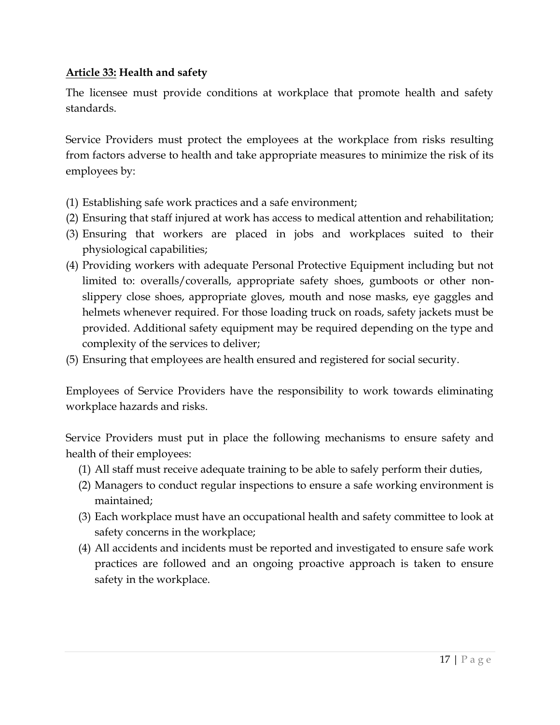#### <span id="page-16-0"></span>**Article 33: Health and safety**

The licensee must provide conditions at workplace that promote health and safety standards.

Service Providers must protect the employees at the workplace from risks resulting from factors adverse to health and take appropriate measures to minimize the risk of its employees by:

- (1) Establishing safe work practices and a safe environment;
- (2) Ensuring that staff injured at work has access to medical attention and rehabilitation;
- (3) Ensuring that workers are placed in jobs and workplaces suited to their physiological capabilities;
- (4) Providing workers with adequate Personal Protective Equipment including but not limited to: overalls/coveralls, appropriate safety shoes, gumboots or other nonslippery close shoes, appropriate gloves, mouth and nose masks, eye gaggles and helmets whenever required. For those loading truck on roads, safety jackets must be provided. Additional safety equipment may be required depending on the type and complexity of the services to deliver;
- (5) Ensuring that employees are health ensured and registered for social security.

Employees of Service Providers have the responsibility to work towards eliminating workplace hazards and risks.

Service Providers must put in place the following mechanisms to ensure safety and health of their employees:

- (1) All staff must receive adequate training to be able to safely perform their duties,
- (2) Managers to conduct regular inspections to ensure a safe working environment is maintained;
- (3) Each workplace must have an occupational health and safety committee to look at safety concerns in the workplace;
- (4) All accidents and incidents must be reported and investigated to ensure safe work practices are followed and an ongoing proactive approach is taken to ensure safety in the workplace.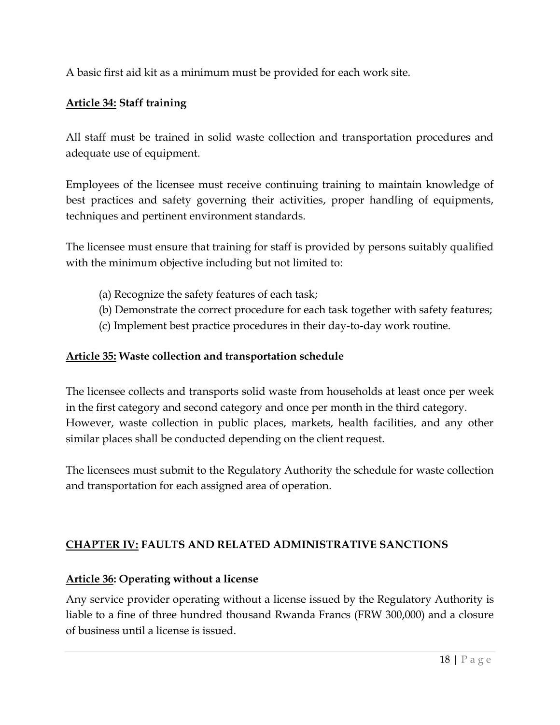A basic first aid kit as a minimum must be provided for each work site.

## <span id="page-17-0"></span>**Article 34: Staff training**

All staff must be trained in solid waste collection and transportation procedures and adequate use of equipment.

Employees of the licensee must receive continuing training to maintain knowledge of best practices and safety governing their activities, proper handling of equipments, techniques and pertinent environment standards.

The licensee must ensure that training for staff is provided by persons suitably qualified with the minimum objective including but not limited to:

- (a) Recognize the safety features of each task;
- (b) Demonstrate the correct procedure for each task together with safety features;
- (c) Implement best practice procedures in their day-to-day work routine.

#### <span id="page-17-1"></span>**Article 35: Waste collection and transportation schedule**

The licensee collects and transports solid waste from households at least once per week in the first category and second category and once per month in the third category. However, waste collection in public places, markets, health facilities, and any other similar places shall be conducted depending on the client request.

The licensees must submit to the Regulatory Authority the schedule for waste collection and transportation for each assigned area of operation.

## <span id="page-17-2"></span>**CHAPTER IV: FAULTS AND RELATED ADMINISTRATIVE SANCTIONS**

## <span id="page-17-3"></span>**Article 36: Operating without a license**

Any service provider operating without a license issued by the Regulatory Authority is liable to a fine of three hundred thousand Rwanda Francs (FRW 300,000) and a closure of business until a license is issued.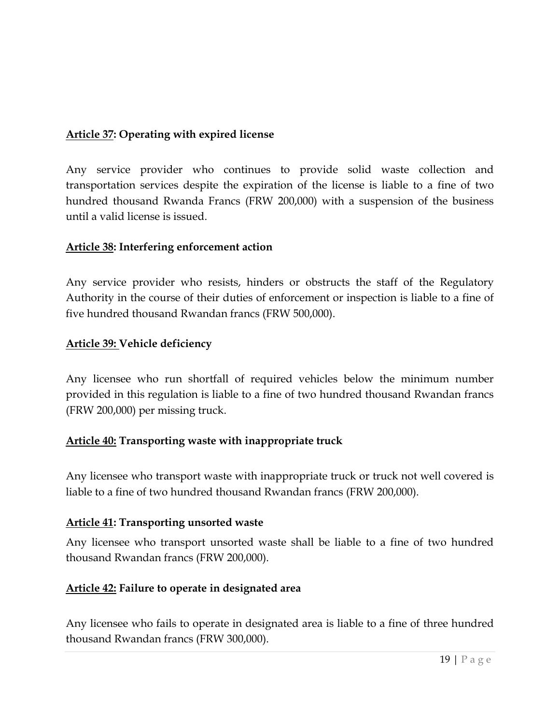## <span id="page-18-0"></span>**Article 37: Operating with expired license**

Any service provider who continues to provide solid waste collection and transportation services despite the expiration of the license is liable to a fine of two hundred thousand Rwanda Francs (FRW 200,000) with a suspension of the business until a valid license is issued.

#### <span id="page-18-1"></span>**Article 38: Interfering enforcement action**

Any service provider who resists, hinders or obstructs the staff of the Regulatory Authority in the course of their duties of enforcement or inspection is liable to a fine of five hundred thousand Rwandan francs (FRW 500,000).

#### <span id="page-18-2"></span>**Article 39: Vehicle deficiency**

Any licensee who run shortfall of required vehicles below the minimum number provided in this regulation is liable to a fine of two hundred thousand Rwandan francs (FRW 200,000) per missing truck.

#### <span id="page-18-3"></span>**Article 40: Transporting waste with inappropriate truck**

Any licensee who transport waste with inappropriate truck or truck not well covered is liable to a fine of two hundred thousand Rwandan francs (FRW 200,000).

#### <span id="page-18-4"></span>**Article 41: Transporting unsorted waste**

Any licensee who transport unsorted waste shall be liable to a fine of two hundred thousand Rwandan francs (FRW 200,000).

#### <span id="page-18-5"></span>**Article 42: Failure to operate in designated area**

Any licensee who fails to operate in designated area is liable to a fine of three hundred thousand Rwandan francs (FRW 300,000).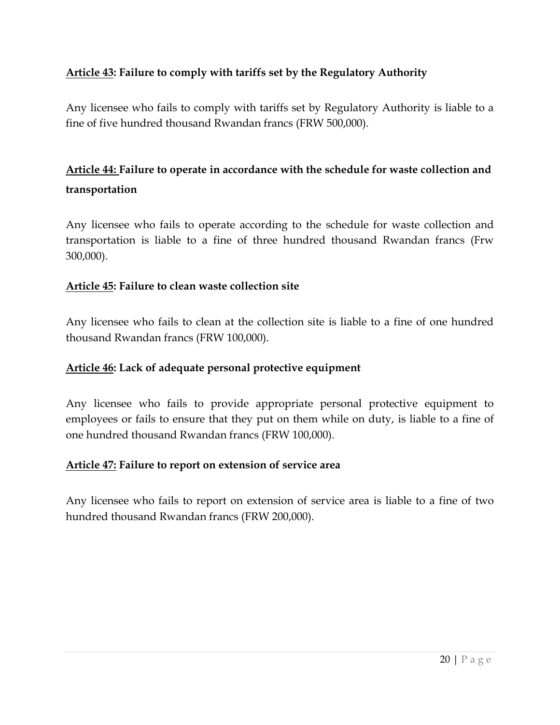## <span id="page-19-0"></span>**Article 43: Failure to comply with tariffs set by the Regulatory Authority**

Any licensee who fails to comply with tariffs set by Regulatory Authority is liable to a fine of five hundred thousand Rwandan francs (FRW 500,000).

## <span id="page-19-1"></span>**Article 44: Failure to operate in accordance with the schedule for waste collection and transportation**

Any licensee who fails to operate according to the schedule for waste collection and transportation is liable to a fine of three hundred thousand Rwandan francs (Frw 300,000).

#### <span id="page-19-2"></span>**Article 45: Failure to clean waste collection site**

Any licensee who fails to clean at the collection site is liable to a fine of one hundred thousand Rwandan francs (FRW 100,000).

#### <span id="page-19-3"></span>**Article 46: Lack of adequate personal protective equipment**

Any licensee who fails to provide appropriate personal protective equipment to employees or fails to ensure that they put on them while on duty, is liable to a fine of one hundred thousand Rwandan francs (FRW 100,000).

#### <span id="page-19-4"></span>**Article 47: Failure to report on extension of service area**

<span id="page-19-5"></span>Any licensee who fails to report on extension of service area is liable to a fine of two hundred thousand Rwandan francs (FRW 200,000).